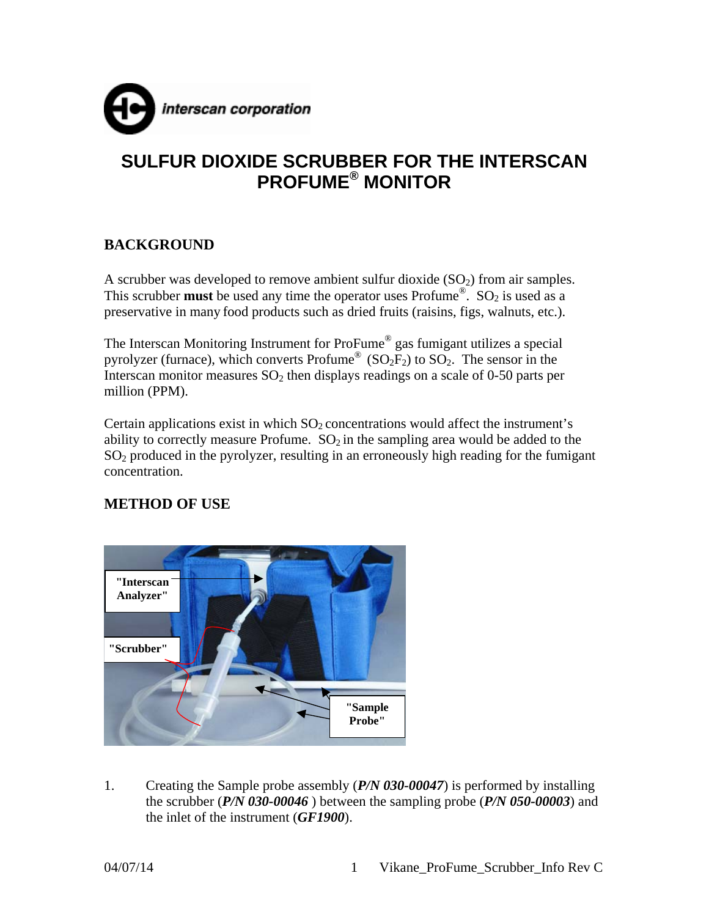

# **SULFUR DIOXIDE SCRUBBER FOR THE INTERSCAN PROFUME® MONITOR**

# **BACKGROUND**

A scrubber was developed to remove ambient sulfur dioxide  $(SO<sub>2</sub>)$  from air samples. This scrubber **must** be used any time the operator uses Profume<sup>®</sup>. SO<sub>2</sub> is used as a preservative in many food products such as dried fruits (raisins, figs, walnuts, etc.).

The Interscan Monitoring Instrument for ProFume® gas fumigant utilizes a special pyrolyzer (furnace), which converts Profume<sup>®</sup> ( $SO<sub>2</sub>F<sub>2</sub>$ ) to  $SO<sub>2</sub>$ . The sensor in the Interscan monitor measures  $SO_2$  then displays readings on a scale of 0-50 parts per million (PPM).

Certain applications exist in which  $SO<sub>2</sub>$  concentrations would affect the instrument's ability to correctly measure Profume.  $SO_2$  in the sampling area would be added to the SO2 produced in the pyrolyzer, resulting in an erroneously high reading for the fumigant concentration.

### **METHOD OF USE**



1. Creating the Sample probe assembly (*P/N 030-00047*) is performed by installing the scrubber (*P/N 030-00046* ) between the sampling probe (*P/N 050-00003*) and the inlet of the instrument (*GF1900*).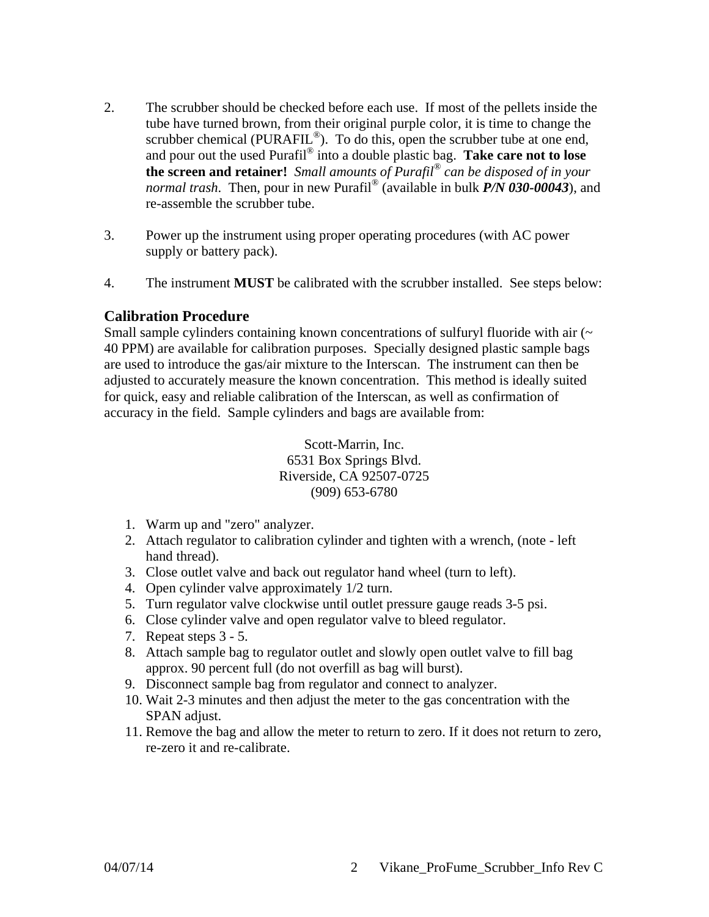- 2. The scrubber should be checked before each use. If most of the pellets inside the tube have turned brown, from their original purple color, it is time to change the scrubber chemical (PURAFIL<sup>®</sup>). To do this, open the scrubber tube at one end, and pour out the used Purafil® into a double plastic bag. **Take care not to lose the screen and retainer!** *Small amounts of Purafil® can be disposed of in your normal trash*. Then, pour in new Purafil® (available in bulk *P/N 030-00043*), and re-assemble the scrubber tube.
- 3. Power up the instrument using proper operating procedures (with AC power supply or battery pack).
- 4. The instrument **MUST** be calibrated with the scrubber installed. See steps below:

#### **Calibration Procedure**

Small sample cylinders containing known concentrations of sulfuryl fluoride with air  $(\sim$ 40 PPM) are available for calibration purposes. Specially designed plastic sample bags are used to introduce the gas/air mixture to the Interscan. The instrument can then be adjusted to accurately measure the known concentration. This method is ideally suited for quick, easy and reliable calibration of the Interscan, as well as confirmation of accuracy in the field. Sample cylinders and bags are available from:

> Scott-Marrin, Inc. 6531 Box Springs Blvd. Riverside, CA 92507-0725 (909) 653-6780

- 1. Warm up and "zero" analyzer.
- 2. Attach regulator to calibration cylinder and tighten with a wrench, (note left hand thread).
- 3. Close outlet valve and back out regulator hand wheel (turn to left).
- 4. Open cylinder valve approximately 1/2 turn.
- 5. Turn regulator valve clockwise until outlet pressure gauge reads 3-5 psi.
- 6. Close cylinder valve and open regulator valve to bleed regulator.
- 7. Repeat steps 3 5.
- 8. Attach sample bag to regulator outlet and slowly open outlet valve to fill bag approx. 90 percent full (do not overfill as bag will burst).
- 9. Disconnect sample bag from regulator and connect to analyzer.
- 10. Wait 2-3 minutes and then adjust the meter to the gas concentration with the SPAN adjust.
- 11. Remove the bag and allow the meter to return to zero. If it does not return to zero, re-zero it and re-calibrate.